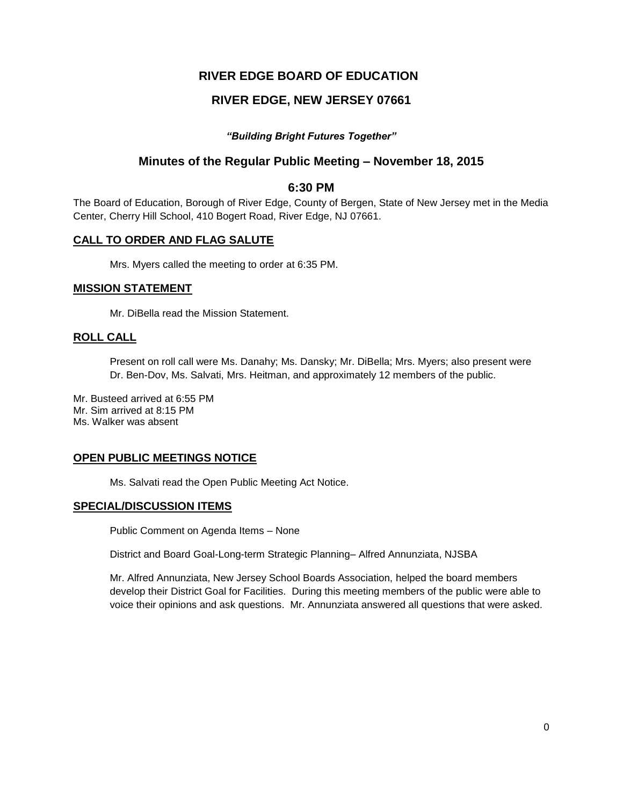# **RIVER EDGE BOARD OF EDUCATION**

# **RIVER EDGE, NEW JERSEY 07661**

### *"Building Bright Futures Together"*

## **Minutes of the Regular Public Meeting – November 18, 2015**

### **6:30 PM**

The Board of Education, Borough of River Edge, County of Bergen, State of New Jersey met in the Media Center, Cherry Hill School, 410 Bogert Road, River Edge, NJ 07661.

### **CALL TO ORDER AND FLAG SALUTE**

Mrs. Myers called the meeting to order at 6:35 PM.

### **MISSION STATEMENT**

Mr. DiBella read the Mission Statement.

### **ROLL CALL**

Present on roll call were Ms. Danahy; Ms. Dansky; Mr. DiBella; Mrs. Myers; also present were Dr. Ben-Dov, Ms. Salvati, Mrs. Heitman, and approximately 12 members of the public.

Mr. Busteed arrived at 6:55 PM Mr. Sim arrived at 8:15 PM Ms. Walker was absent

## **OPEN PUBLIC MEETINGS NOTICE**

Ms. Salvati read the Open Public Meeting Act Notice.

### **SPECIAL/DISCUSSION ITEMS**

Public Comment on Agenda Items – None

District and Board Goal-Long-term Strategic Planning– Alfred Annunziata, NJSBA

Mr. Alfred Annunziata, New Jersey School Boards Association, helped the board members develop their District Goal for Facilities. During this meeting members of the public were able to voice their opinions and ask questions. Mr. Annunziata answered all questions that were asked.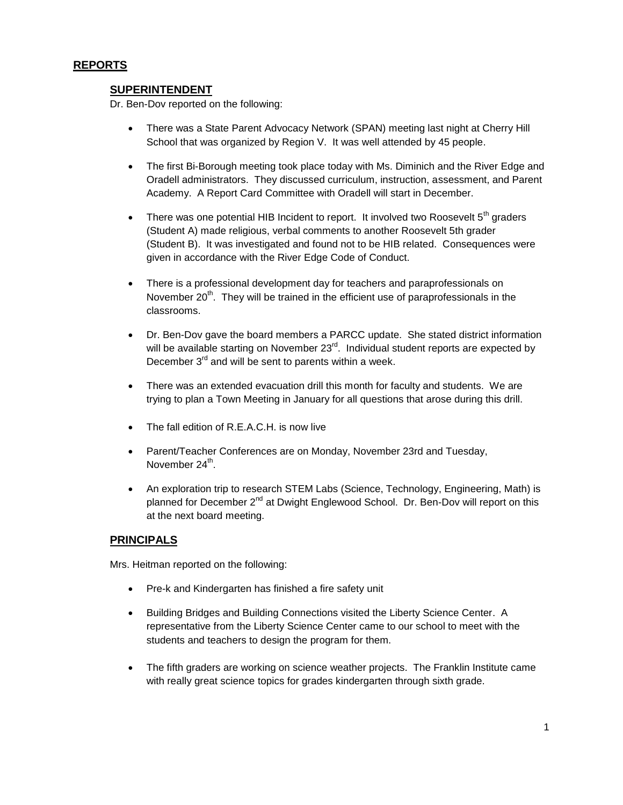## **REPORTS**

### **SUPERINTENDENT**

Dr. Ben-Dov reported on the following:

- There was a State Parent Advocacy Network (SPAN) meeting last night at Cherry Hill School that was organized by Region V. It was well attended by 45 people.
- The first Bi-Borough meeting took place today with Ms. Diminich and the River Edge and Oradell administrators. They discussed curriculum, instruction, assessment, and Parent Academy. A Report Card Committee with Oradell will start in December.
- There was one potential HIB Incident to report. It involved two Roosevelt  $5<sup>th</sup>$  graders (Student A) made religious, verbal comments to another Roosevelt 5th grader (Student B). It was investigated and found not to be HIB related. Consequences were given in accordance with the River Edge Code of Conduct.
- There is a professional development day for teachers and paraprofessionals on November  $20<sup>th</sup>$ . They will be trained in the efficient use of paraprofessionals in the classrooms.
- Dr. Ben-Dov gave the board members a PARCC update. She stated district information will be available starting on November 23<sup>rd</sup>. Individual student reports are expected by December 3<sup>rd</sup> and will be sent to parents within a week.
- There was an extended evacuation drill this month for faculty and students. We are trying to plan a Town Meeting in January for all questions that arose during this drill.
- The fall edition of R.E.A.C.H. is now live
- Parent/Teacher Conferences are on Monday, November 23rd and Tuesday, November 24<sup>th</sup>.
- An exploration trip to research STEM Labs (Science, Technology, Engineering, Math) is planned for December  $2^{nd}$  at Dwight Englewood School. Dr. Ben-Dov will report on this at the next board meeting.

### **PRINCIPALS**

Mrs. Heitman reported on the following:

- Pre-k and Kindergarten has finished a fire safety unit
- Building Bridges and Building Connections visited the Liberty Science Center. A representative from the Liberty Science Center came to our school to meet with the students and teachers to design the program for them.
- The fifth graders are working on science weather projects. The Franklin Institute came with really great science topics for grades kindergarten through sixth grade.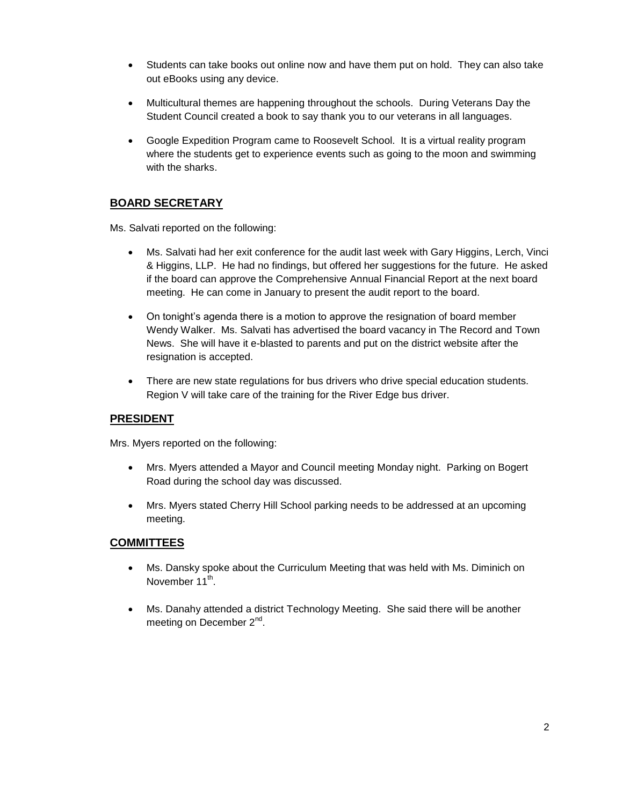- Students can take books out online now and have them put on hold. They can also take out eBooks using any device.
- Multicultural themes are happening throughout the schools. During Veterans Day the Student Council created a book to say thank you to our veterans in all languages.
- Google Expedition Program came to Roosevelt School. It is a virtual reality program where the students get to experience events such as going to the moon and swimming with the sharks.

# **BOARD SECRETARY**

Ms. Salvati reported on the following:

- Ms. Salvati had her exit conference for the audit last week with Gary Higgins, Lerch, Vinci & Higgins, LLP. He had no findings, but offered her suggestions for the future. He asked if the board can approve the Comprehensive Annual Financial Report at the next board meeting. He can come in January to present the audit report to the board.
- On tonight's agenda there is a motion to approve the resignation of board member Wendy Walker. Ms. Salvati has advertised the board vacancy in The Record and Town News. She will have it e-blasted to parents and put on the district website after the resignation is accepted.
- There are new state regulations for bus drivers who drive special education students. Region V will take care of the training for the River Edge bus driver.

## **PRESIDENT**

Mrs. Myers reported on the following:

- Mrs. Myers attended a Mayor and Council meeting Monday night. Parking on Bogert Road during the school day was discussed.
- Mrs. Myers stated Cherry Hill School parking needs to be addressed at an upcoming meeting.

## **COMMITTEES**

- Ms. Dansky spoke about the Curriculum Meeting that was held with Ms. Diminich on November 11<sup>th</sup>.
- Ms. Danahy attended a district Technology Meeting. She said there will be another meeting on December 2<sup>nd</sup>.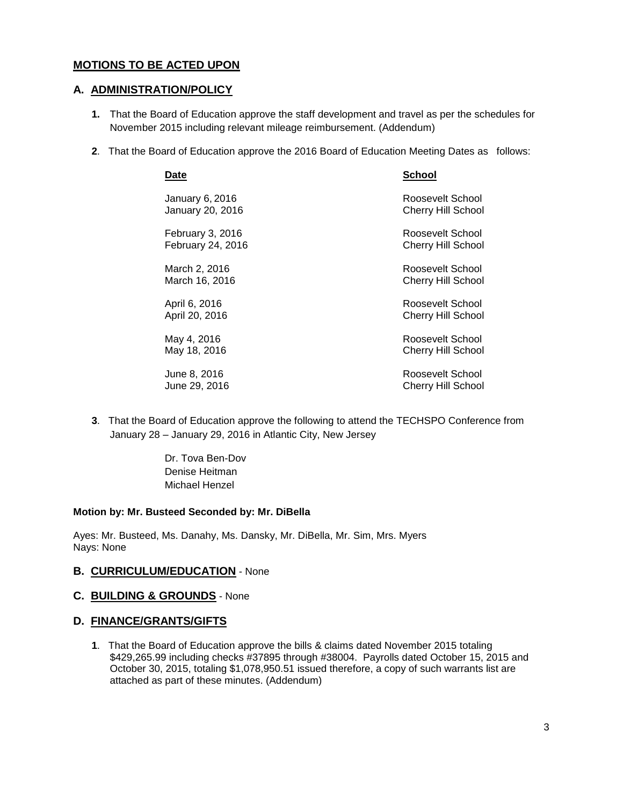## **MOTIONS TO BE ACTED UPON**

### **A. ADMINISTRATION/POLICY**

- **1.** That the Board of Education approve the staff development and travel as per the schedules for November 2015 including relevant mileage reimbursement. (Addendum)
- **2**. That the Board of Education approve the 2016 Board of Education Meeting Dates as follows:

| Date              | School                    |
|-------------------|---------------------------|
| January 6, 2016   | Roosevelt School          |
| January 20, 2016  | <b>Cherry Hill School</b> |
| February 3, 2016  | Roosevelt School          |
| February 24, 2016 | <b>Cherry Hill School</b> |
| March 2, 2016     | Roosevelt School          |
| March 16, 2016    | Cherry Hill School        |
| April 6, 2016     | Roosevelt School          |
| April 20, 2016    | Cherry Hill School        |
| May 4, 2016       | Roosevelt School          |
| May 18, 2016      | Cherry Hill School        |
| June 8, 2016      | Roosevelt School          |
| June 29, 2016     | <b>Cherry Hill School</b> |

- **3**. That the Board of Education approve the following to attend the TECHSPO Conference from January 28 – January 29, 2016 in Atlantic City, New Jersey
	- Dr. Tova Ben-Dov Denise Heitman Michael Henzel

#### **Motion by: Mr. Busteed Seconded by: Mr. DiBella**

Ayes: Mr. Busteed, Ms. Danahy, Ms. Dansky, Mr. DiBella, Mr. Sim, Mrs. Myers Nays: None

#### **B. CURRICULUM/EDUCATION** - None

#### **C. BUILDING & GROUNDS** - None

#### **D. FINANCE/GRANTS/GIFTS**

**1**. That the Board of Education approve the bills & claims dated November 2015 totaling \$429,265.99 including checks #37895 through #38004. Payrolls dated October 15, 2015 and October 30, 2015, totaling \$1,078,950.51 issued therefore, a copy of such warrants list are attached as part of these minutes. (Addendum)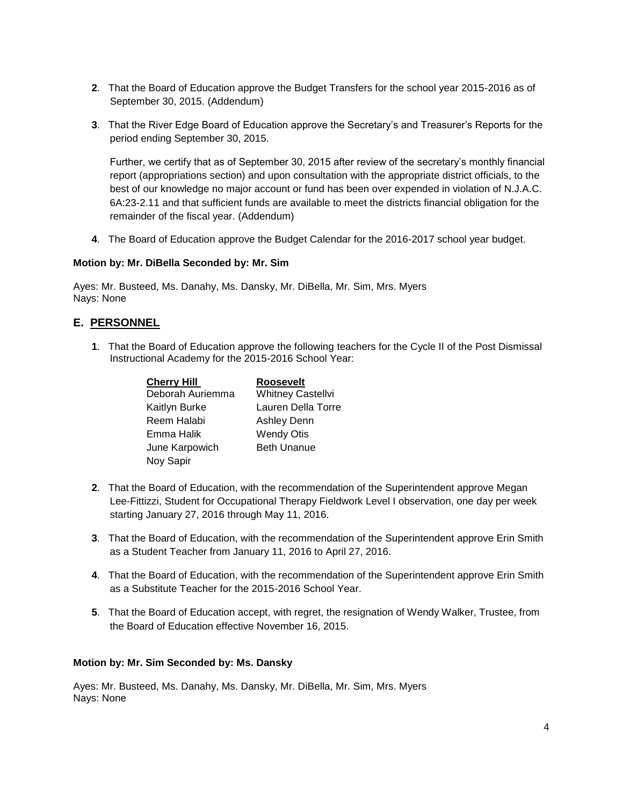- **2**. That the Board of Education approve the Budget Transfers for the school year 2015-2016 as of September 30, 2015. (Addendum)
- **3**. That the River Edge Board of Education approve the Secretary's and Treasurer's Reports for the period ending September 30, 2015.

Further, we certify that as of September 30, 2015 after review of the secretary's monthly financial report (appropriations section) and upon consultation with the appropriate district officials, to the best of our knowledge no major account or fund has been over expended in violation of N.J.A.C. 6A:23-2.11 and that sufficient funds are available to meet the districts financial obligation for the remainder of the fiscal year. (Addendum)

**4**. The Board of Education approve the Budget Calendar for the 2016-2017 school year budget.

#### **Motion by: Mr. DiBella Seconded by: Mr. Sim**

Ayes: Mr. Busteed, Ms. Danahy, Ms. Dansky, Mr. DiBella, Mr. Sim, Mrs. Myers Nays: None

## **E. PERSONNEL**

**1**. That the Board of Education approve the following teachers for the Cycle II of the Post Dismissal Instructional Academy for the 2015-2016 School Year:

| <b>Cherry Hill</b> | <b>Roosevelt</b>         |
|--------------------|--------------------------|
| Deborah Auriemma   | <b>Whitney Castellvi</b> |
| Kaitlyn Burke      | Lauren Della Torre       |
| Reem Halabi        | <b>Ashley Denn</b>       |
| Emma Halik         | <b>Wendy Otis</b>        |
| June Karpowich     | <b>Beth Unanue</b>       |
| Noy Sapir          |                          |

- **2**. That the Board of Education, with the recommendation of the Superintendent approve Megan Lee-Fittizzi, Student for Occupational Therapy Fieldwork Level I observation, one day per week starting January 27, 2016 through May 11, 2016.
- **3**. That the Board of Education, with the recommendation of the Superintendent approve Erin Smith as a Student Teacher from January 11, 2016 to April 27, 2016.
- **4**. That the Board of Education, with the recommendation of the Superintendent approve Erin Smith as a Substitute Teacher for the 2015-2016 School Year.
- **5**. That the Board of Education accept, with regret, the resignation of Wendy Walker, Trustee, from the Board of Education effective November 16, 2015.

#### **Motion by: Mr. Sim Seconded by: Ms. Dansky**

Ayes: Mr. Busteed, Ms. Danahy, Ms. Dansky, Mr. DiBella, Mr. Sim, Mrs. Myers Nays: None